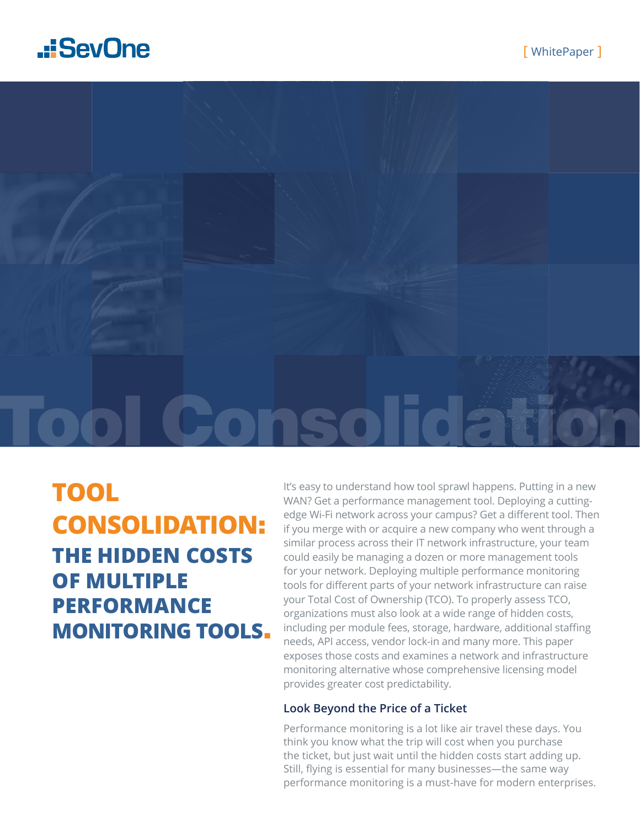## .: SevOne



## **THE HIDDEN COSTS OF MULTIPLE PERFORMANCE MONITORING TOOLS**. **TOOL CONSOLIDATION**:

It's easy to understand how tool sprawl happens. Putting in a new WAN? Get a performance management tool. Deploying a cuttingedge Wi-Fi network across your campus? Get a different tool. Then if you merge with or acquire a new company who went through a similar process across their IT network infrastructure, your team could easily be managing a dozen or more management tools for your network. Deploying multiple performance monitoring tools for different parts of your network infrastructure can raise your Total Cost of Ownership (TCO). To properly assess TCO, organizations must also look at a wide range of hidden costs, including per module fees, storage, hardware, additional staffing needs, API access, vendor lock-in and many more. This paper exposes those costs and examines a network and infrastructure monitoring alternative whose comprehensive licensing model provides greater cost predictability.

#### **Look Beyond the Price of a Ticket**

Performance monitoring is a lot like air travel these days. You think you know what the trip will cost when you purchase the ticket, but just wait until the hidden costs start adding up. Still, flying is essential for many businesses—the same way performance monitoring is a must-have for modern enterprises.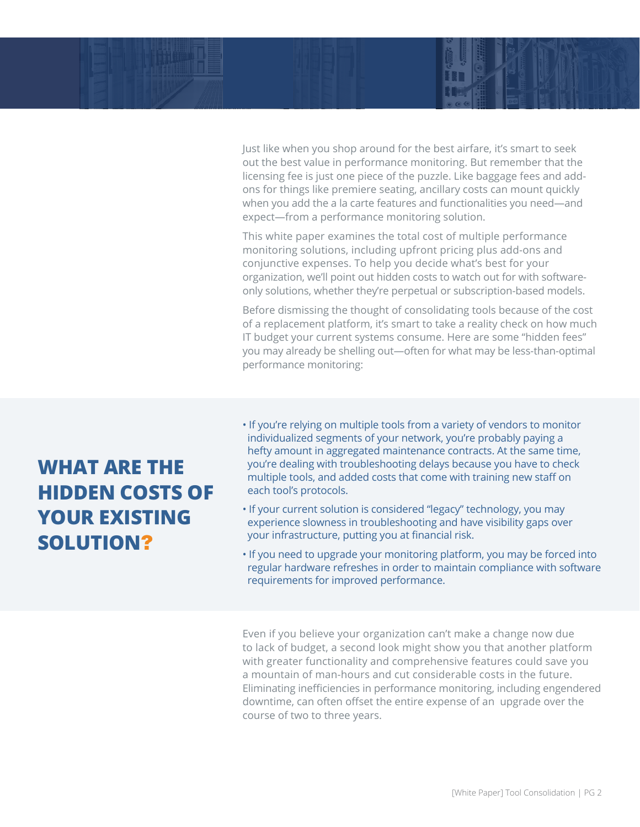Just like when you shop around for the best airfare, it's smart to seek out the best value in performance monitoring. But remember that the licensing fee is just one piece of the puzzle. Like baggage fees and addons for things like premiere seating, ancillary costs can mount quickly when you add the a la carte features and functionalities you need—and expect—from a performance monitoring solution.

This white paper examines the total cost of multiple performance monitoring solutions, including upfront pricing plus add-ons and conjunctive expenses. To help you decide what's best for your organization, we'll point out hidden costs to watch out for with softwareonly solutions, whether they're perpetual or subscription-based models.

Before dismissing the thought of consolidating tools because of the cost of a replacement platform, it's smart to take a reality check on how much IT budget your current systems consume. Here are some "hidden fees" you may already be shelling out—often for what may be less-than-optimal performance monitoring:

### **WHAT ARE THE HIDDEN COSTS OF YOUR EXISTING SOLUTION**?

- If you're relying on multiple tools from a variety of vendors to monitor individualized segments of your network, you're probably paying a hefty amount in aggregated maintenance contracts. At the same time, you're dealing with troubleshooting delays because you have to check multiple tools, and added costs that come with training new staff on each tool's protocols.
- If your current solution is considered "legacy" technology, you may experience slowness in troubleshooting and have visibility gaps over your infrastructure, putting you at financial risk.
- If you need to upgrade your monitoring platform, you may be forced into regular hardware refreshes in order to maintain compliance with software requirements for improved performance.

Even if you believe your organization can't make a change now due to lack of budget, a second look might show you that another platform with greater functionality and comprehensive features could save you a mountain of man-hours and cut considerable costs in the future. Eliminating inefficiencies in performance monitoring, including engendered downtime, can often offset the entire expense of an upgrade over the course of two to three years.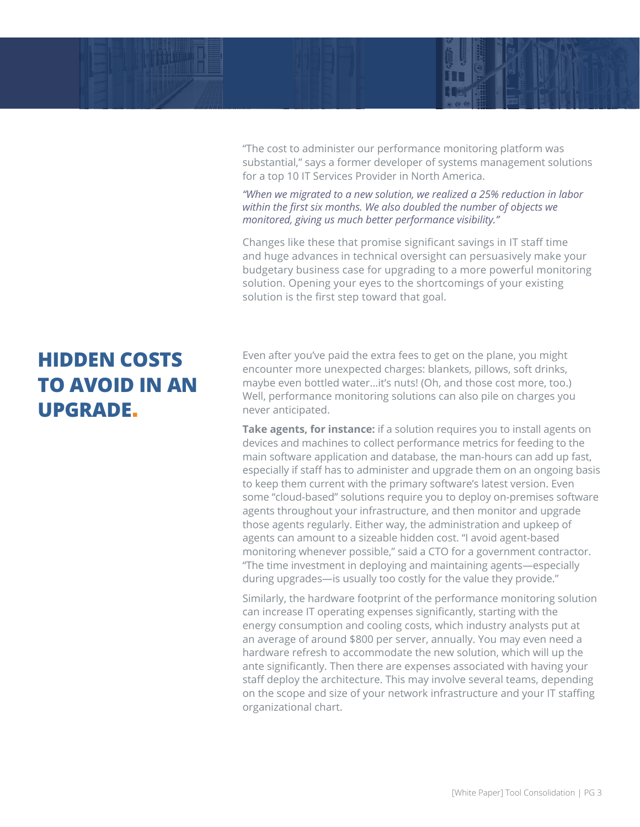

"The cost to administer our performance monitoring platform was substantial," says a former developer of systems management solutions for a top 10 IT Services Provider in North America.

*"When we migrated to a new solution, we realized a 25% reduction in labor within the first six months. We also doubled the number of objects we monitored, giving us much better performance visibility."*

Changes like these that promise significant savings in IT staff time and huge advances in technical oversight can persuasively make your budgetary business case for upgrading to a more powerful monitoring solution. Opening your eyes to the shortcomings of your existing solution is the first step toward that goal.

## **HIDDEN COSTS TO AVOID IN AN UPGRADE**.

Even after you've paid the extra fees to get on the plane, you might encounter more unexpected charges: blankets, pillows, soft drinks, maybe even bottled water...it's nuts! (Oh, and those cost more, too.) Well, performance monitoring solutions can also pile on charges you never anticipated.

**Take agents, for instance:** if a solution requires you to install agents on devices and machines to collect performance metrics for feeding to the main software application and database, the man-hours can add up fast, especially if staff has to administer and upgrade them on an ongoing basis to keep them current with the primary software's latest version. Even some "cloud-based" solutions require you to deploy on-premises software agents throughout your infrastructure, and then monitor and upgrade those agents regularly. Either way, the administration and upkeep of agents can amount to a sizeable hidden cost. "I avoid agent-based monitoring whenever possible," said a CTO for a government contractor. "The time investment in deploying and maintaining agents—especially during upgrades—is usually too costly for the value they provide."

Similarly, the hardware footprint of the performance monitoring solution can increase IT operating expenses significantly, starting with the energy consumption and cooling costs, which industry analysts put at an average of around \$800 per server, annually. You may even need a hardware refresh to accommodate the new solution, which will up the ante significantly. Then there are expenses associated with having your staff deploy the architecture. This may involve several teams, depending on the scope and size of your network infrastructure and your IT staffing organizational chart.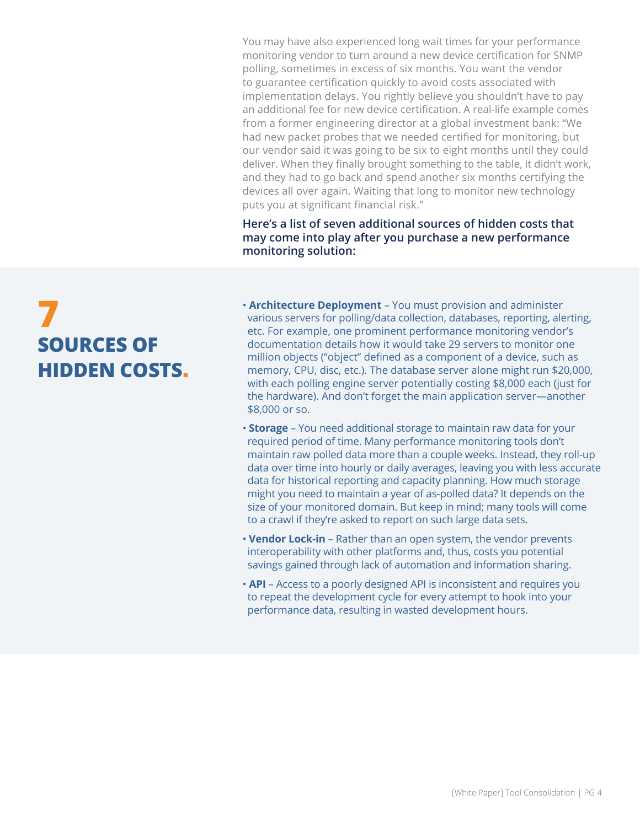You may have also experienced long wait times for your performance monitoring vendor to turn around a new device certification for SNMP polling, sometimes in excess of six months. You want the vendor to guarantee certification quickly to avoid costs associated with implementation delays. You rightly believe you shouldn't have to pay an additional fee for new device certification. A real-life example comes from a former engineering director at a global investment bank: "We had new packet probes that we needed certified for monitoring, but our vendor said it was going to be six to eight months until they could deliver. When they finally brought something to the table, it didn't work, and they had to go back and spend another six months certifying the devices all over again. Waiting that long to monitor new technology puts you at significant financial risk."

**Here's a list of seven additional sources of hidden costs that may come into play after you purchase a new performance monitoring solution:**

# **7 SOURCES OF HIDDEN COSTS**.

• **Architecture Deployment** – You must provision and administer various servers for polling/data collection, databases, reporting, alerting, etc. For example, one prominent performance monitoring vendor's documentation details how it would take 29 servers to monitor one million objects ("object" defined as a component of a device, such as memory, CPU, disc, etc.). The database server alone might run \$20,000, with each polling engine server potentially costing \$8,000 each (just for the hardware). And don't forget the main application server—another \$8,000 or so.

- **Storage** You need additional storage to maintain raw data for your required period of time. Many performance monitoring tools don't maintain raw polled data more than a couple weeks. Instead, they roll-up data over time into hourly or daily averages, leaving you with less accurate data for historical reporting and capacity planning. How much storage might you need to maintain a year of as-polled data? It depends on the size of your monitored domain. But keep in mind; many tools will come to a crawl if they're asked to report on such large data sets.
- **Vendor Lock-in** Rather than an open system, the vendor prevents interoperability with other platforms and, thus, costs you potential savings gained through lack of automation and information sharing.
- **API** Access to a poorly designed API is inconsistent and requires you to repeat the development cycle for every attempt to hook into your performance data, resulting in wasted development hours.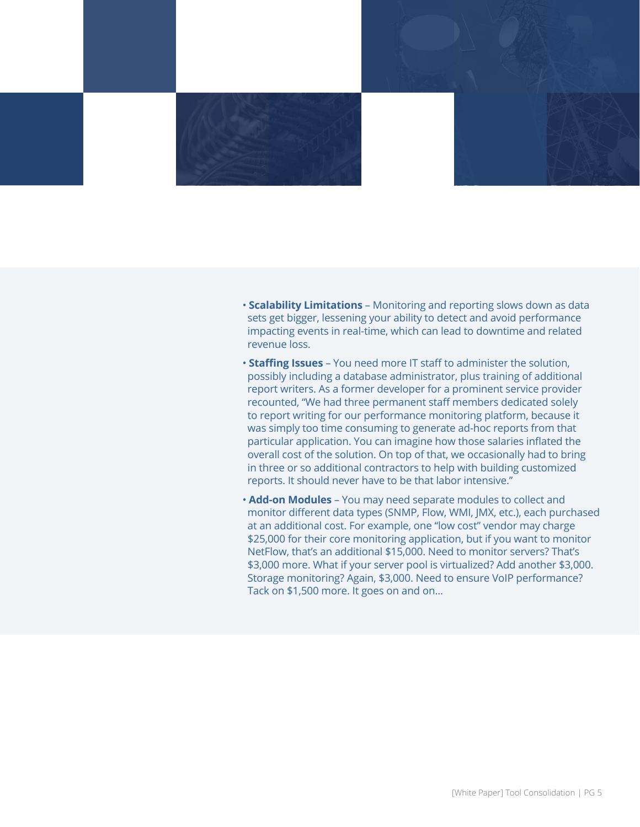

- **Scalability Limitations** Monitoring and reporting slows down as data sets get bigger, lessening your ability to detect and avoid performance impacting events in real-time, which can lead to downtime and related revenue loss.
- **Staffing Issues** You need more IT staff to administer the solution, possibly including a database administrator, plus training of additional report writers. As a former developer for a prominent service provider recounted, "We had three permanent staff members dedicated solely to report writing for our performance monitoring platform, because it was simply too time consuming to generate ad-hoc reports from that particular application. You can imagine how those salaries inflated the overall cost of the solution. On top of that, we occasionally had to bring in three or so additional contractors to help with building customized reports. It should never have to be that labor intensive."
- **Add-on Modules** You may need separate modules to collect and monitor different data types (SNMP, Flow, WMI, JMX, etc.), each purchased at an additional cost. For example, one "low cost" vendor may charge \$25,000 for their core monitoring application, but if you want to monitor NetFlow, that's an additional \$15,000. Need to monitor servers? That's \$3,000 more. What if your server pool is virtualized? Add another \$3,000. Storage monitoring? Again, \$3,000. Need to ensure VoIP performance? Tack on \$1,500 more. It goes on and on...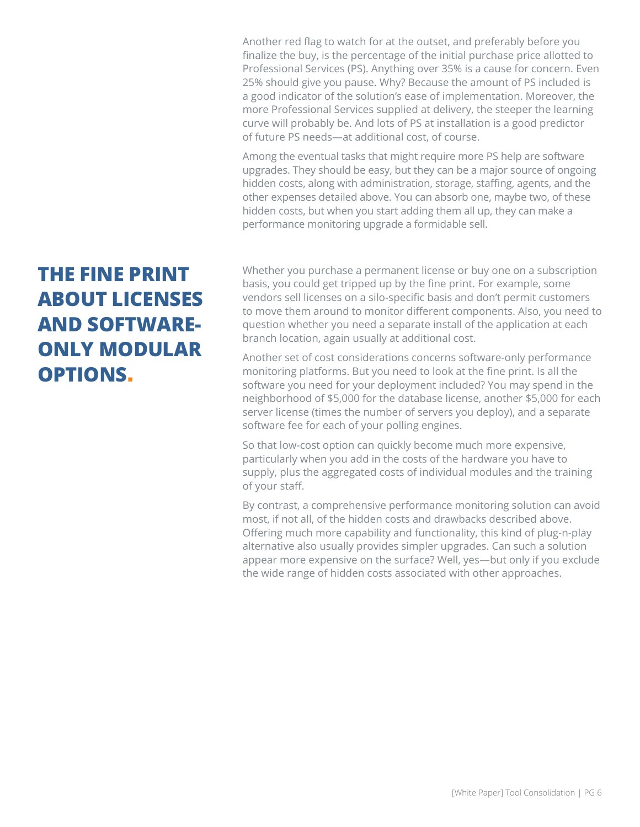Another red flag to watch for at the outset, and preferably before you finalize the buy, is the percentage of the initial purchase price allotted to Professional Services (PS). Anything over 35% is a cause for concern. Even 25% should give you pause. Why? Because the amount of PS included is a good indicator of the solution's ease of implementation. Moreover, the more Professional Services supplied at delivery, the steeper the learning curve will probably be. And lots of PS at installation is a good predictor of future PS needs—at additional cost, of course.

Among the eventual tasks that might require more PS help are software upgrades. They should be easy, but they can be a major source of ongoing hidden costs, along with administration, storage, staffing, agents, and the other expenses detailed above. You can absorb one, maybe two, of these hidden costs, but when you start adding them all up, they can make a performance monitoring upgrade a formidable sell.

## **THE FINE PRINT ABOUT LICENSES AND SOFTWARE-ONLY MODULAR OPTIONS**.

Whether you purchase a permanent license or buy one on a subscription basis, you could get tripped up by the fine print. For example, some vendors sell licenses on a silo-specific basis and don't permit customers to move them around to monitor different components. Also, you need to question whether you need a separate install of the application at each branch location, again usually at additional cost.

Another set of cost considerations concerns software-only performance monitoring platforms. But you need to look at the fine print. Is all the software you need for your deployment included? You may spend in the neighborhood of \$5,000 for the database license, another \$5,000 for each server license (times the number of servers you deploy), and a separate software fee for each of your polling engines.

So that low-cost option can quickly become much more expensive, particularly when you add in the costs of the hardware you have to supply, plus the aggregated costs of individual modules and the training of your staff.

By contrast, a comprehensive performance monitoring solution can avoid most, if not all, of the hidden costs and drawbacks described above. Offering much more capability and functionality, this kind of plug-n-play alternative also usually provides simpler upgrades. Can such a solution appear more expensive on the surface? Well, yes—but only if you exclude the wide range of hidden costs associated with other approaches.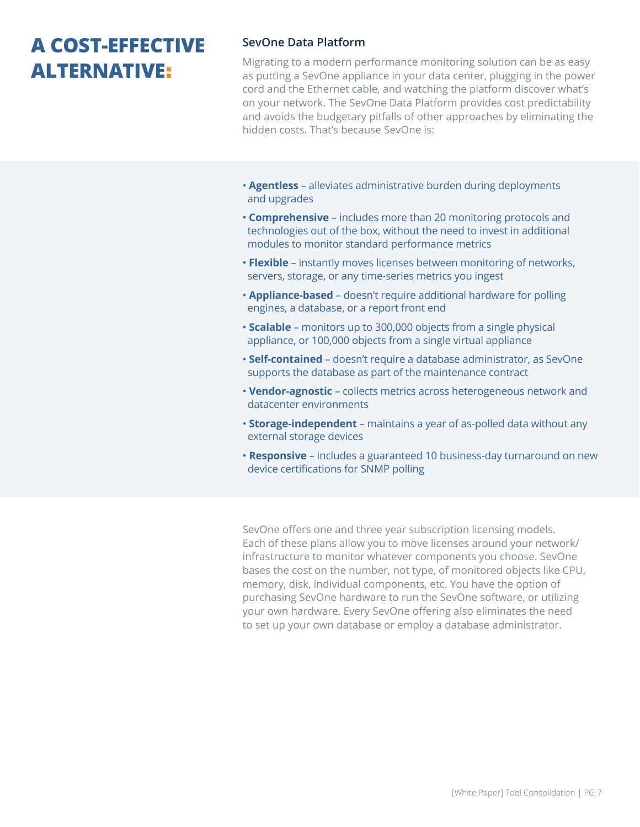### **A COST-EFFECTIVE ALTERNATIVE**:

#### **SevOne Data Platform**

Migrating to a modern performance monitoring solution can be as easy as putting a SevOne appliance in your data center, plugging in the power cord and the Ethernet cable, and watching the platform discover what's on your network. The SevOne Data Platform provides cost predictability and avoids the budgetary pitfalls of other approaches by eliminating the hidden costs. That's because SevOne is:

- **Agentless** alleviates administrative burden during deployments and upgrades
- **Comprehensive** includes more than 20 monitoring protocols and technologies out of the box, without the need to invest in additional modules to monitor standard performance metrics
- **Flexible** instantly moves licenses between monitoring of networks, servers, storage, or any time-series metrics you ingest
- **Appliance-based** doesn't require additional hardware for polling engines, a database, or a report front end
- • **Scalable** monitors up to 300,000 objects from a single physical appliance, or 100,000 objects from a single virtual appliance
- **Self-contained** doesn't require a database administrator, as SevOne supports the database as part of the maintenance contract
- **Vendor-agnostic** collects metrics across heterogeneous network and datacenter environments
- **Storage-independent** maintains a year of as-polled data without any external storage devices
- **Responsive** includes a guaranteed 10 business-day turnaround on new device certifications for SNMP polling

SevOne offers one and three year subscription licensing models. Each of these plans allow you to move licenses around your network/ infrastructure to monitor whatever components you choose. SevOne bases the cost on the number, not type, of monitored objects like CPU, memory, disk, individual components, etc. You have the option of purchasing SevOne hardware to run the SevOne software, or utilizing your own hardware. Every SevOne offering also eliminates the need to set up your own database or employ a database administrator.